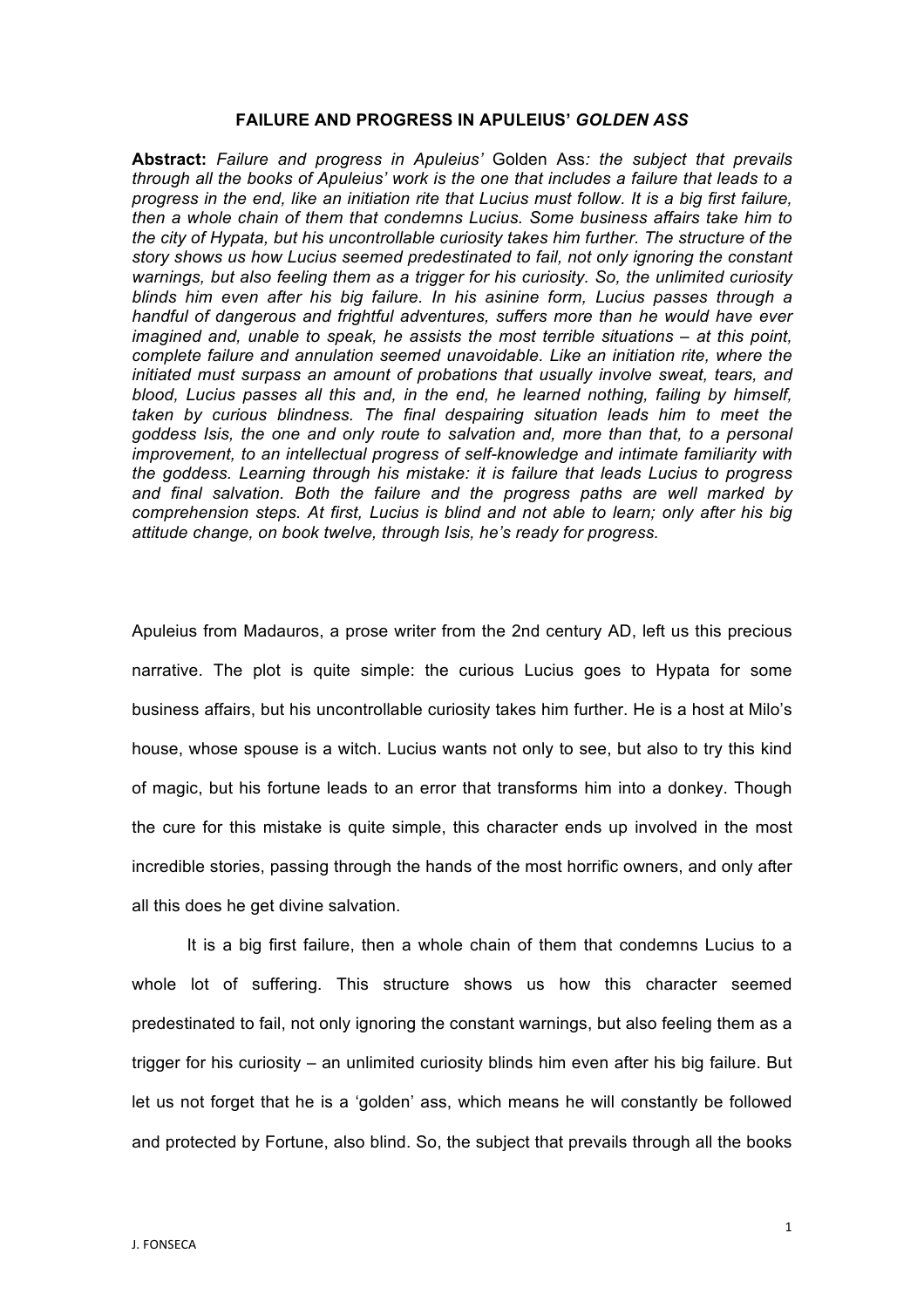## **FAILURE AND PROGRESS IN APULEIUS'** *GOLDEN ASS*

**Abstract:** *Failure and progress in Apuleius'* Golden Ass*: the subject that prevails through all the books of Apuleius' work is the one that includes a failure that leads to a progress in the end, like an initiation rite that Lucius must follow. It is a big first failure, then a whole chain of them that condemns Lucius. Some business affairs take him to the city of Hypata, but his uncontrollable curiosity takes him further. The structure of the story shows us how Lucius seemed predestinated to fail, not only ignoring the constant warnings, but also feeling them as a trigger for his curiosity. So, the unlimited curiosity blinds him even after his big failure. In his asinine form, Lucius passes through a handful of dangerous and frightful adventures, suffers more than he would have ever imagined and, unable to speak, he assists the most terrible situations – at this point, complete failure and annulation seemed unavoidable. Like an initiation rite, where the initiated must surpass an amount of probations that usually involve sweat, tears, and blood, Lucius passes all this and, in the end, he learned nothing, failing by himself, taken by curious blindness. The final despairing situation leads him to meet the goddess Isis, the one and only route to salvation and, more than that, to a personal improvement, to an intellectual progress of self-knowledge and intimate familiarity with the goddess. Learning through his mistake: it is failure that leads Lucius to progress and final salvation. Both the failure and the progress paths are well marked by comprehension steps. At first, Lucius is blind and not able to learn; only after his big attitude change, on book twelve, through Isis, he's ready for progress.*

Apuleius from Madauros, a prose writer from the 2nd century AD, left us this precious narrative. The plot is quite simple: the curious Lucius goes to Hypata for some business affairs, but his uncontrollable curiosity takes him further. He is a host at Milo's house, whose spouse is a witch. Lucius wants not only to see, but also to try this kind of magic, but his fortune leads to an error that transforms him into a donkey. Though the cure for this mistake is quite simple, this character ends up involved in the most incredible stories, passing through the hands of the most horrific owners, and only after all this does he get divine salvation.

It is a big first failure, then a whole chain of them that condemns Lucius to a whole lot of suffering. This structure shows us how this character seemed predestinated to fail, not only ignoring the constant warnings, but also feeling them as a trigger for his curiosity – an unlimited curiosity blinds him even after his big failure. But let us not forget that he is a 'golden' ass, which means he will constantly be followed and protected by Fortune, also blind. So, the subject that prevails through all the books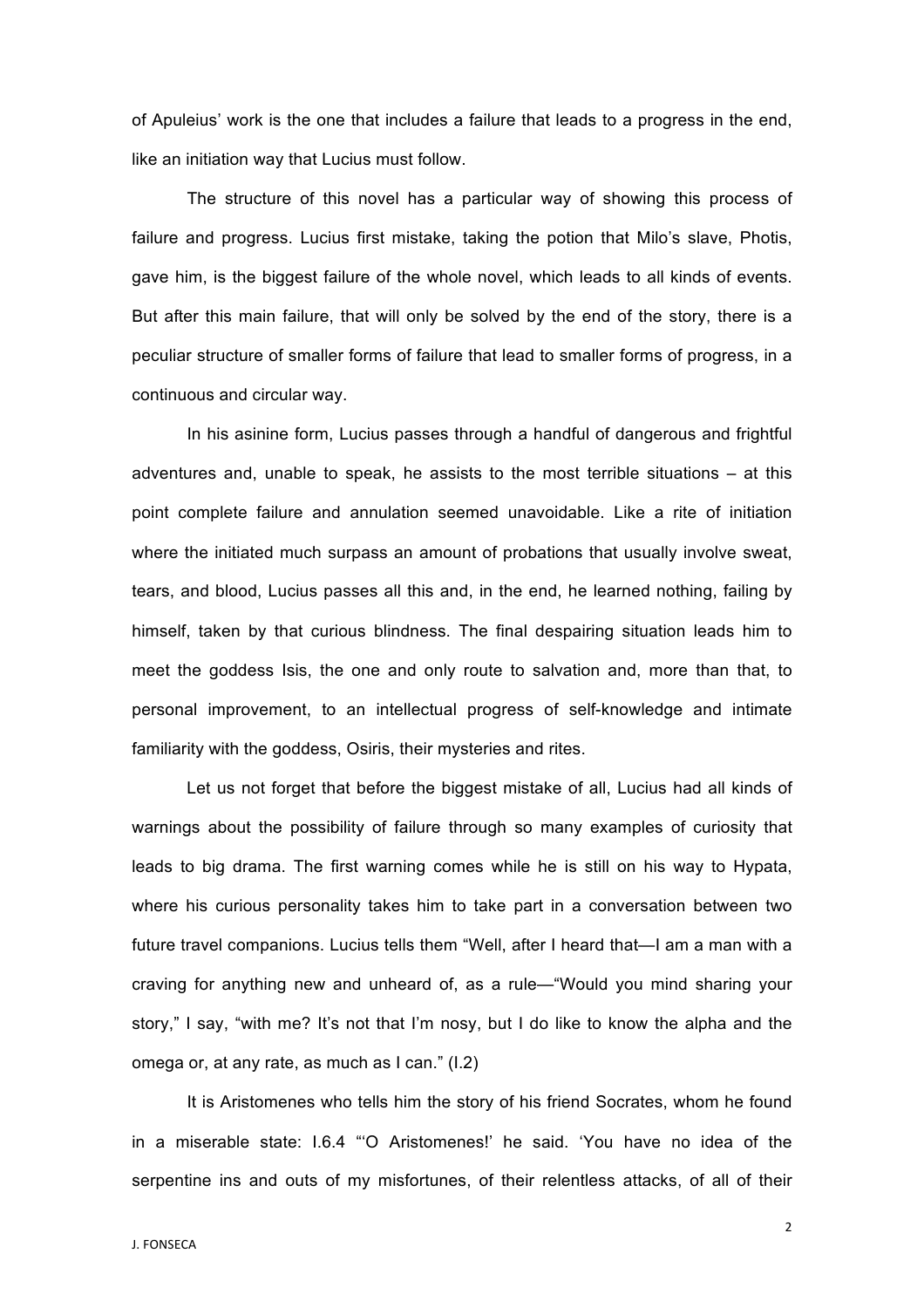of Apuleius' work is the one that includes a failure that leads to a progress in the end, like an initiation way that Lucius must follow.

The structure of this novel has a particular way of showing this process of failure and progress. Lucius first mistake, taking the potion that Milo's slave, Photis, gave him, is the biggest failure of the whole novel, which leads to all kinds of events. But after this main failure, that will only be solved by the end of the story, there is a peculiar structure of smaller forms of failure that lead to smaller forms of progress, in a continuous and circular way.

In his asinine form, Lucius passes through a handful of dangerous and frightful adventures and, unable to speak, he assists to the most terrible situations – at this point complete failure and annulation seemed unavoidable. Like a rite of initiation where the initiated much surpass an amount of probations that usually involve sweat, tears, and blood, Lucius passes all this and, in the end, he learned nothing, failing by himself, taken by that curious blindness. The final despairing situation leads him to meet the goddess Isis, the one and only route to salvation and, more than that, to personal improvement, to an intellectual progress of self-knowledge and intimate familiarity with the goddess, Osiris, their mysteries and rites.

Let us not forget that before the biggest mistake of all, Lucius had all kinds of warnings about the possibility of failure through so many examples of curiosity that leads to big drama. The first warning comes while he is still on his way to Hypata, where his curious personality takes him to take part in a conversation between two future travel companions. Lucius tells them "Well, after I heard that—I am a man with a craving for anything new and unheard of, as a rule—"Would you mind sharing your story," I say, "with me? It's not that I'm nosy, but I do like to know the alpha and the omega or, at any rate, as much as I can." (I.2)

It is Aristomenes who tells him the story of his friend Socrates, whom he found in a miserable state: I.6.4 "'O Aristomenes!' he said. 'You have no idea of the serpentine ins and outs of my misfortunes, of their relentless attacks, of all of their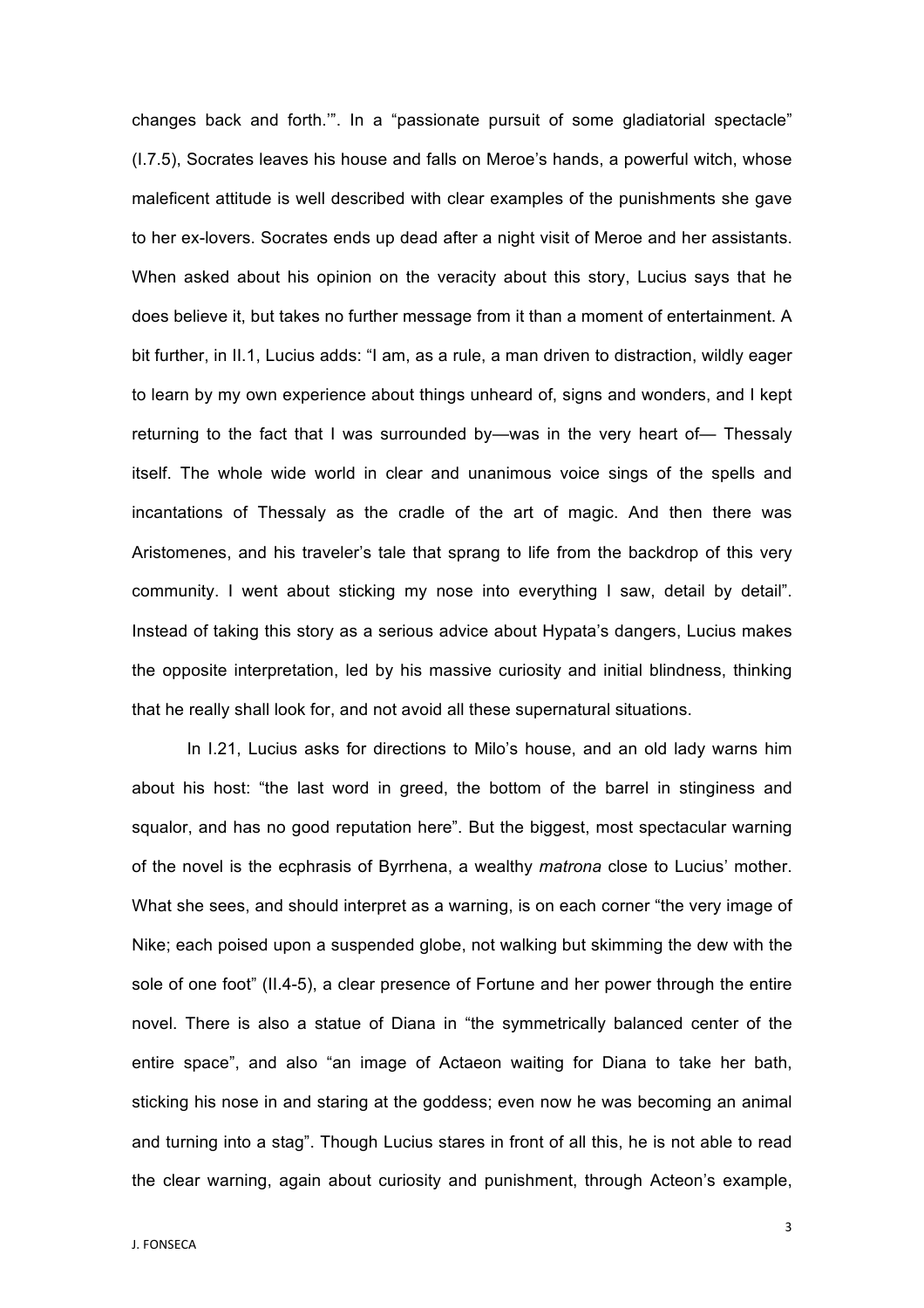changes back and forth.'". In a "passionate pursuit of some gladiatorial spectacle" (I.7.5), Socrates leaves his house and falls on Meroe's hands, a powerful witch, whose maleficent attitude is well described with clear examples of the punishments she gave to her ex-lovers. Socrates ends up dead after a night visit of Meroe and her assistants. When asked about his opinion on the veracity about this story, Lucius says that he does believe it, but takes no further message from it than a moment of entertainment. A bit further, in II.1, Lucius adds: "I am, as a rule, a man driven to distraction, wildly eager to learn by my own experience about things unheard of, signs and wonders, and I kept returning to the fact that I was surrounded by—was in the very heart of— Thessaly itself. The whole wide world in clear and unanimous voice sings of the spells and incantations of Thessaly as the cradle of the art of magic. And then there was Aristomenes, and his traveler's tale that sprang to life from the backdrop of this very community. I went about sticking my nose into everything I saw, detail by detail". Instead of taking this story as a serious advice about Hypata's dangers, Lucius makes the opposite interpretation, led by his massive curiosity and initial blindness, thinking that he really shall look for, and not avoid all these supernatural situations.

In I.21, Lucius asks for directions to Milo's house, and an old lady warns him about his host: "the last word in greed, the bottom of the barrel in stinginess and squalor, and has no good reputation here". But the biggest, most spectacular warning of the novel is the ecphrasis of Byrrhena, a wealthy *matrona* close to Lucius' mother. What she sees, and should interpret as a warning, is on each corner "the very image of Nike; each poised upon a suspended globe, not walking but skimming the dew with the sole of one foot" (II.4-5), a clear presence of Fortune and her power through the entire novel. There is also a statue of Diana in "the symmetrically balanced center of the entire space", and also "an image of Actaeon waiting for Diana to take her bath, sticking his nose in and staring at the goddess; even now he was becoming an animal and turning into a stag". Though Lucius stares in front of all this, he is not able to read the clear warning, again about curiosity and punishment, through Acteon's example,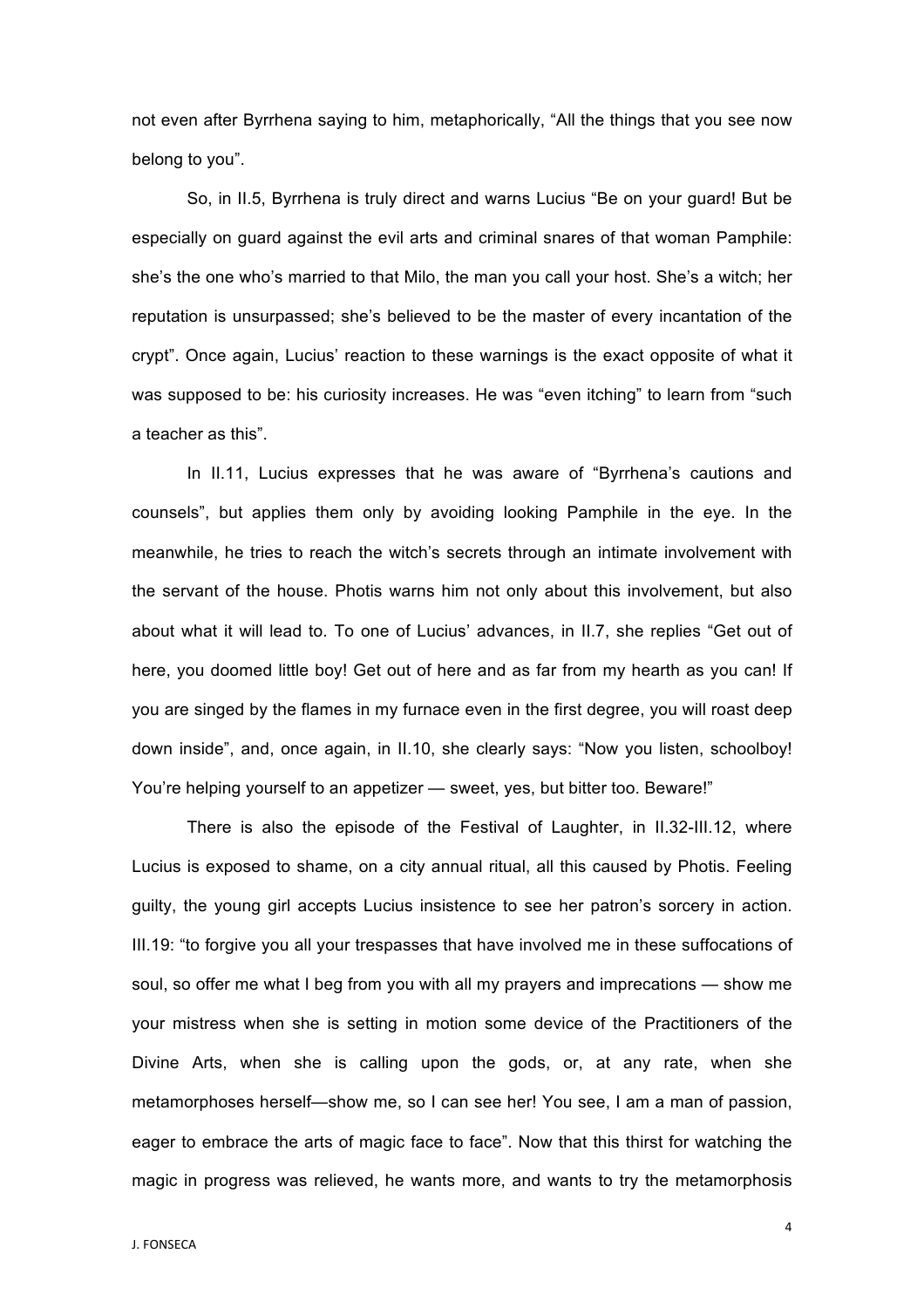not even after Byrrhena saying to him, metaphorically, "All the things that you see now belong to you".

So, in II.5, Byrrhena is truly direct and warns Lucius "Be on your guard! But be especially on guard against the evil arts and criminal snares of that woman Pamphile: she's the one who's married to that Milo, the man you call your host. She's a witch; her reputation is unsurpassed; she's believed to be the master of every incantation of the crypt". Once again, Lucius' reaction to these warnings is the exact opposite of what it was supposed to be: his curiosity increases. He was "even itching" to learn from "such a teacher as this".

In II.11, Lucius expresses that he was aware of "Byrrhena's cautions and counsels", but applies them only by avoiding looking Pamphile in the eye. In the meanwhile, he tries to reach the witch's secrets through an intimate involvement with the servant of the house. Photis warns him not only about this involvement, but also about what it will lead to. To one of Lucius' advances, in II.7, she replies "Get out of here, you doomed little boy! Get out of here and as far from my hearth as you can! If you are singed by the flames in my furnace even in the first degree, you will roast deep down inside", and, once again, in II.10, she clearly says: "Now you listen, schoolboy! You're helping yourself to an appetizer — sweet, yes, but bitter too. Beware!"

There is also the episode of the Festival of Laughter, in II.32-III.12, where Lucius is exposed to shame, on a city annual ritual, all this caused by Photis. Feeling guilty, the young girl accepts Lucius insistence to see her patron's sorcery in action. III.19: "to forgive you all your trespasses that have involved me in these suffocations of soul, so offer me what I beg from you with all my prayers and imprecations — show me your mistress when she is setting in motion some device of the Practitioners of the Divine Arts, when she is calling upon the gods, or, at any rate, when she metamorphoses herself—show me, so I can see her! You see, I am a man of passion, eager to embrace the arts of magic face to face". Now that this thirst for watching the magic in progress was relieved, he wants more, and wants to try the metamorphosis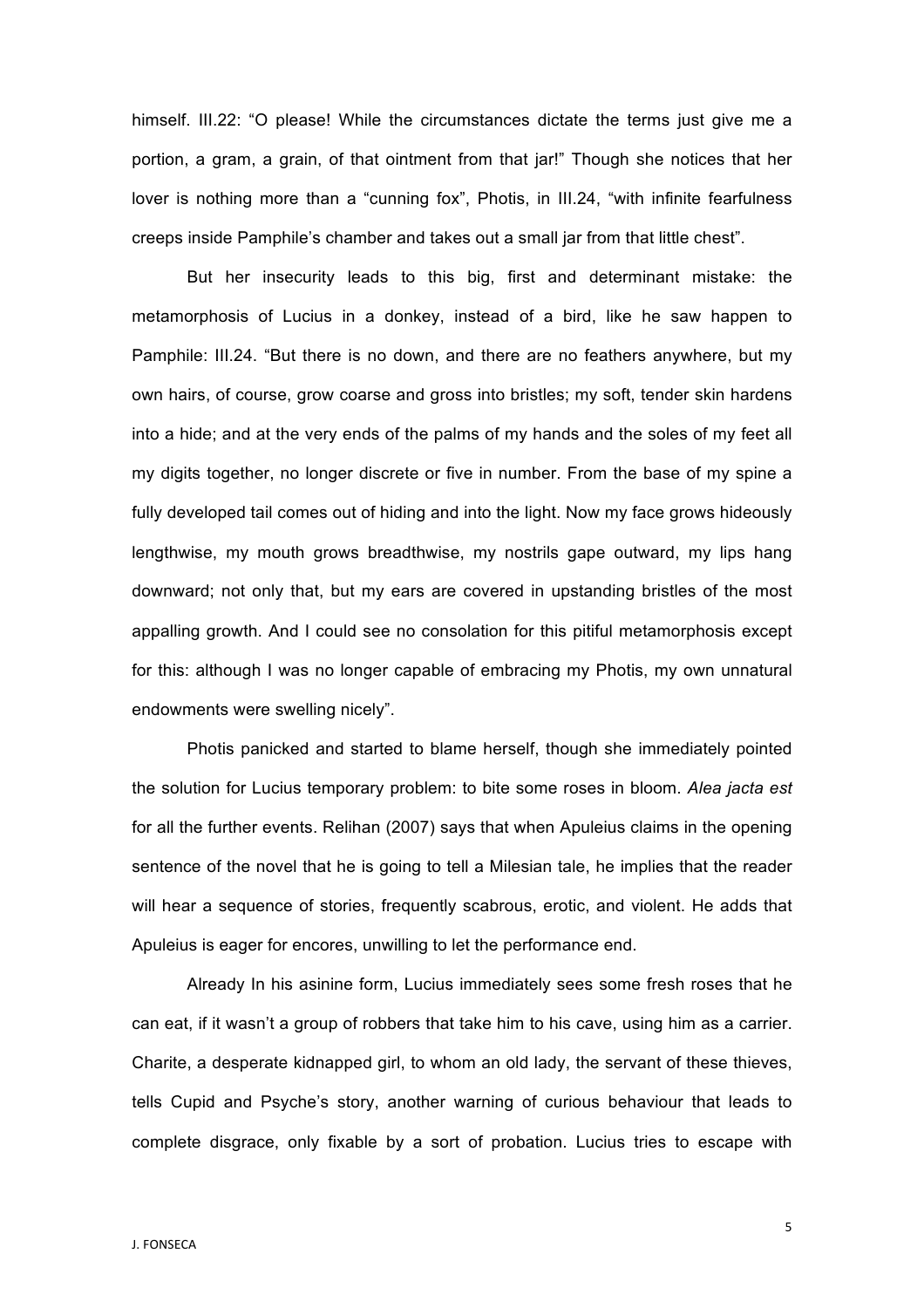himself. III.22: "O please! While the circumstances dictate the terms just give me a portion, a gram, a grain, of that ointment from that jar!" Though she notices that her lover is nothing more than a "cunning fox", Photis, in III.24, "with infinite fearfulness creeps inside Pamphile's chamber and takes out a small jar from that little chest".

But her insecurity leads to this big, first and determinant mistake: the metamorphosis of Lucius in a donkey, instead of a bird, like he saw happen to Pamphile: III.24. "But there is no down, and there are no feathers anywhere, but my own hairs, of course, grow coarse and gross into bristles; my soft, tender skin hardens into a hide; and at the very ends of the palms of my hands and the soles of my feet all my digits together, no longer discrete or five in number. From the base of my spine a fully developed tail comes out of hiding and into the light. Now my face grows hideously lengthwise, my mouth grows breadthwise, my nostrils gape outward, my lips hang downward; not only that, but my ears are covered in upstanding bristles of the most appalling growth. And I could see no consolation for this pitiful metamorphosis except for this: although I was no longer capable of embracing my Photis, my own unnatural endowments were swelling nicely".

Photis panicked and started to blame herself, though she immediately pointed the solution for Lucius temporary problem: to bite some roses in bloom. *Alea jacta est*  for all the further events. Relihan (2007) says that when Apuleius claims in the opening sentence of the novel that he is going to tell a Milesian tale, he implies that the reader will hear a sequence of stories, frequently scabrous, erotic, and violent. He adds that Apuleius is eager for encores, unwilling to let the performance end.

Already In his asinine form, Lucius immediately sees some fresh roses that he can eat, if it wasn't a group of robbers that take him to his cave, using him as a carrier. Charite, a desperate kidnapped girl, to whom an old lady, the servant of these thieves, tells Cupid and Psyche's story, another warning of curious behaviour that leads to complete disgrace, only fixable by a sort of probation. Lucius tries to escape with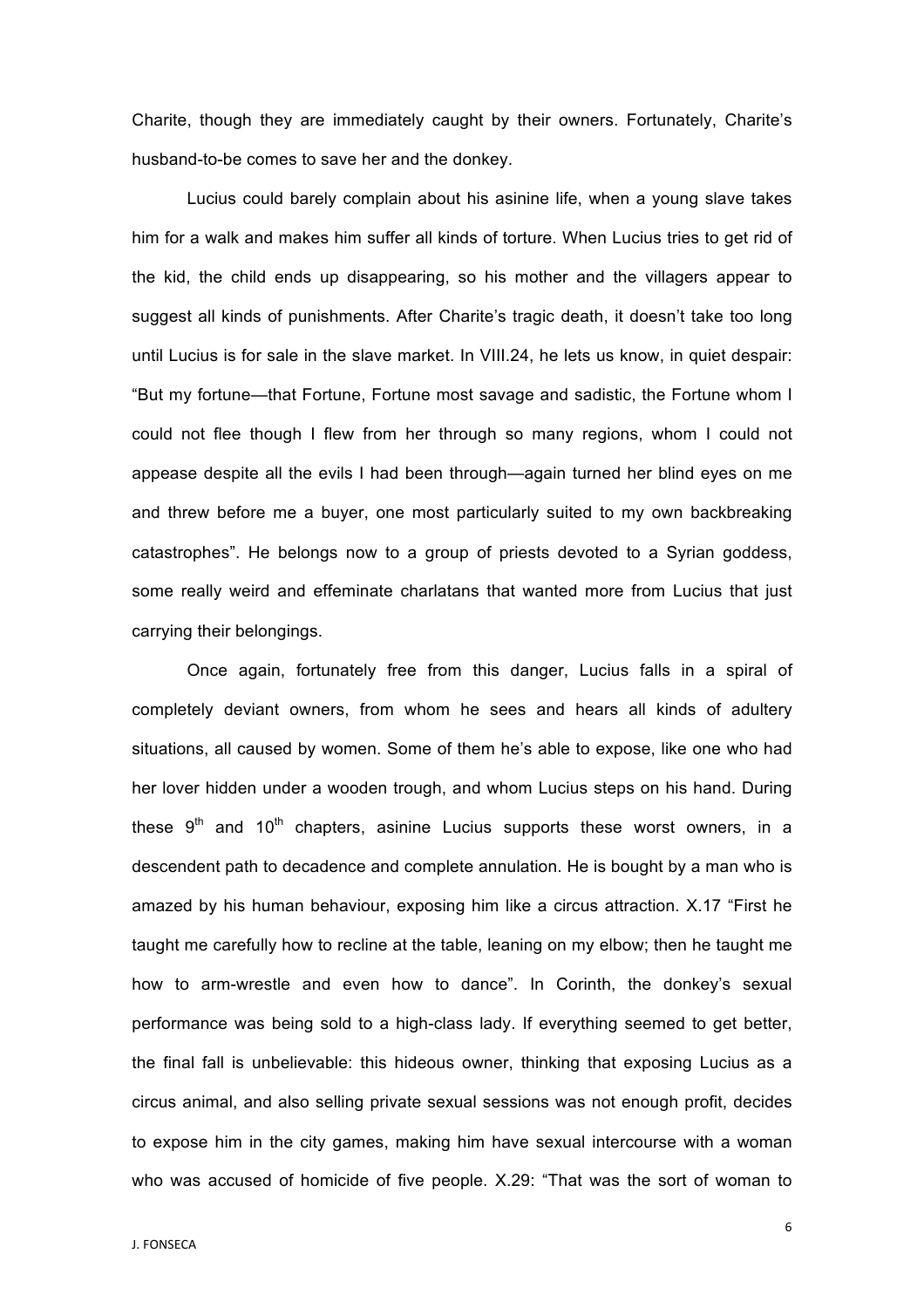Charite, though they are immediately caught by their owners. Fortunately, Charite's husband-to-be comes to save her and the donkey.

Lucius could barely complain about his asinine life, when a young slave takes him for a walk and makes him suffer all kinds of torture. When Lucius tries to get rid of the kid, the child ends up disappearing, so his mother and the villagers appear to suggest all kinds of punishments. After Charite's tragic death, it doesn't take too long until Lucius is for sale in the slave market. In VIII.24, he lets us know, in quiet despair: "But my fortune—that Fortune, Fortune most savage and sadistic, the Fortune whom I could not flee though I flew from her through so many regions, whom I could not appease despite all the evils I had been through—again turned her blind eyes on me and threw before me a buyer, one most particularly suited to my own backbreaking catastrophes". He belongs now to a group of priests devoted to a Syrian goddess, some really weird and effeminate charlatans that wanted more from Lucius that just carrying their belongings.

Once again, fortunately free from this danger, Lucius falls in a spiral of completely deviant owners, from whom he sees and hears all kinds of adultery situations, all caused by women. Some of them he's able to expose, like one who had her lover hidden under a wooden trough, and whom Lucius steps on his hand. During these  $9<sup>th</sup>$  and  $10<sup>th</sup>$  chapters, asinine Lucius supports these worst owners, in a descendent path to decadence and complete annulation. He is bought by a man who is amazed by his human behaviour, exposing him like a circus attraction. X.17 "First he taught me carefully how to recline at the table, leaning on my elbow; then he taught me how to arm-wrestle and even how to dance". In Corinth, the donkey's sexual performance was being sold to a high-class lady. If everything seemed to get better, the final fall is unbelievable: this hideous owner, thinking that exposing Lucius as a circus animal, and also selling private sexual sessions was not enough profit, decides to expose him in the city games, making him have sexual intercourse with a woman who was accused of homicide of five people. X.29: "That was the sort of woman to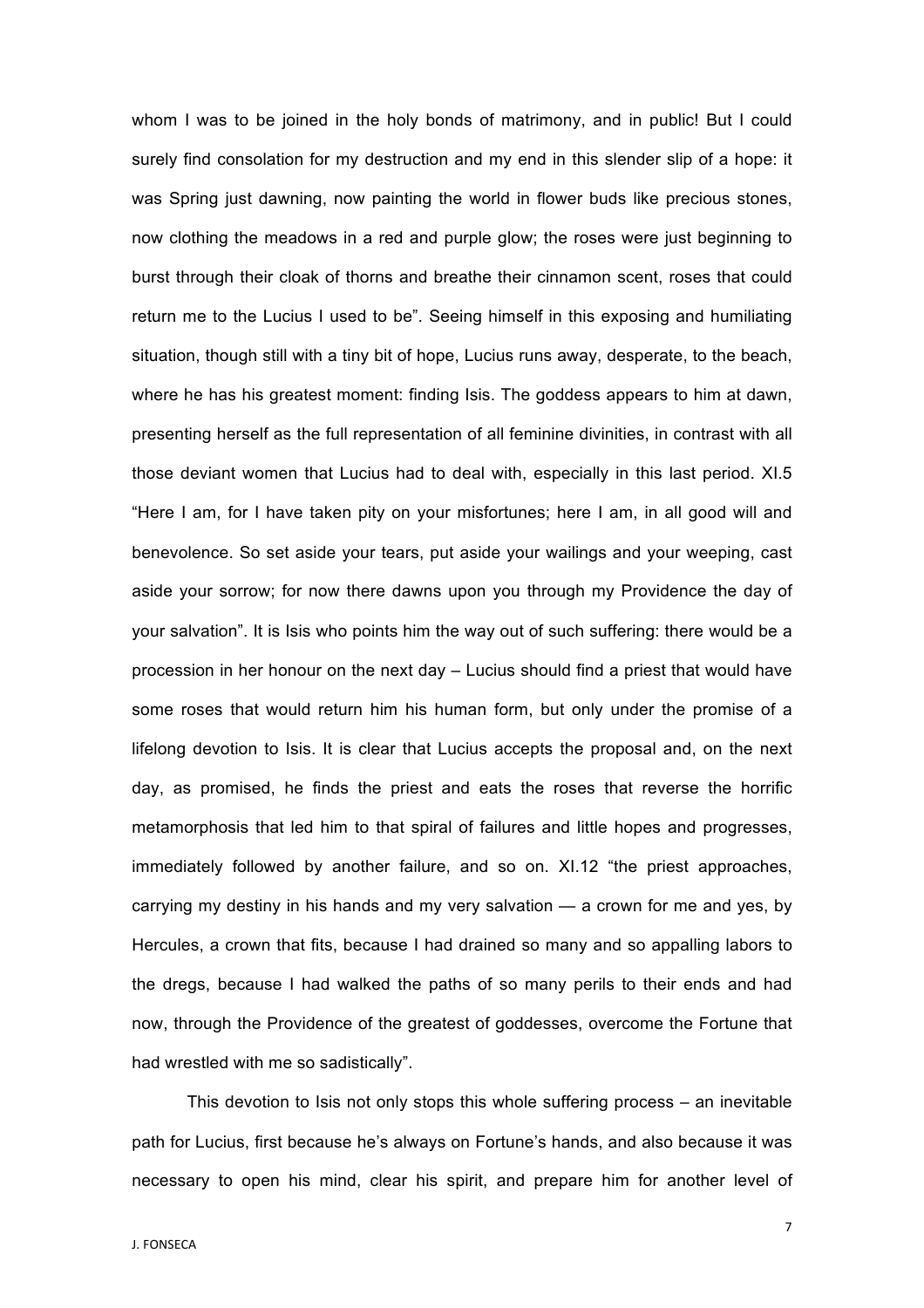whom I was to be joined in the holy bonds of matrimony, and in public! But I could surely find consolation for my destruction and my end in this slender slip of a hope: it was Spring just dawning, now painting the world in flower buds like precious stones, now clothing the meadows in a red and purple glow; the roses were just beginning to burst through their cloak of thorns and breathe their cinnamon scent, roses that could return me to the Lucius I used to be". Seeing himself in this exposing and humiliating situation, though still with a tiny bit of hope, Lucius runs away, desperate, to the beach, where he has his greatest moment: finding Isis. The goddess appears to him at dawn, presenting herself as the full representation of all feminine divinities, in contrast with all those deviant women that Lucius had to deal with, especially in this last period. XI.5 "Here I am, for I have taken pity on your misfortunes; here I am, in all good will and benevolence. So set aside your tears, put aside your wailings and your weeping, cast aside your sorrow; for now there dawns upon you through my Providence the day of your salvation". It is Isis who points him the way out of such suffering: there would be a procession in her honour on the next day – Lucius should find a priest that would have some roses that would return him his human form, but only under the promise of a lifelong devotion to Isis. It is clear that Lucius accepts the proposal and, on the next day, as promised, he finds the priest and eats the roses that reverse the horrific metamorphosis that led him to that spiral of failures and little hopes and progresses, immediately followed by another failure, and so on. XI.12 "the priest approaches, carrying my destiny in his hands and my very salvation — a crown for me and yes, by Hercules, a crown that fits, because I had drained so many and so appalling labors to the dregs, because I had walked the paths of so many perils to their ends and had now, through the Providence of the greatest of goddesses, overcome the Fortune that had wrestled with me so sadistically".

This devotion to Isis not only stops this whole suffering process – an inevitable path for Lucius, first because he's always on Fortune's hands, and also because it was necessary to open his mind, clear his spirit, and prepare him for another level of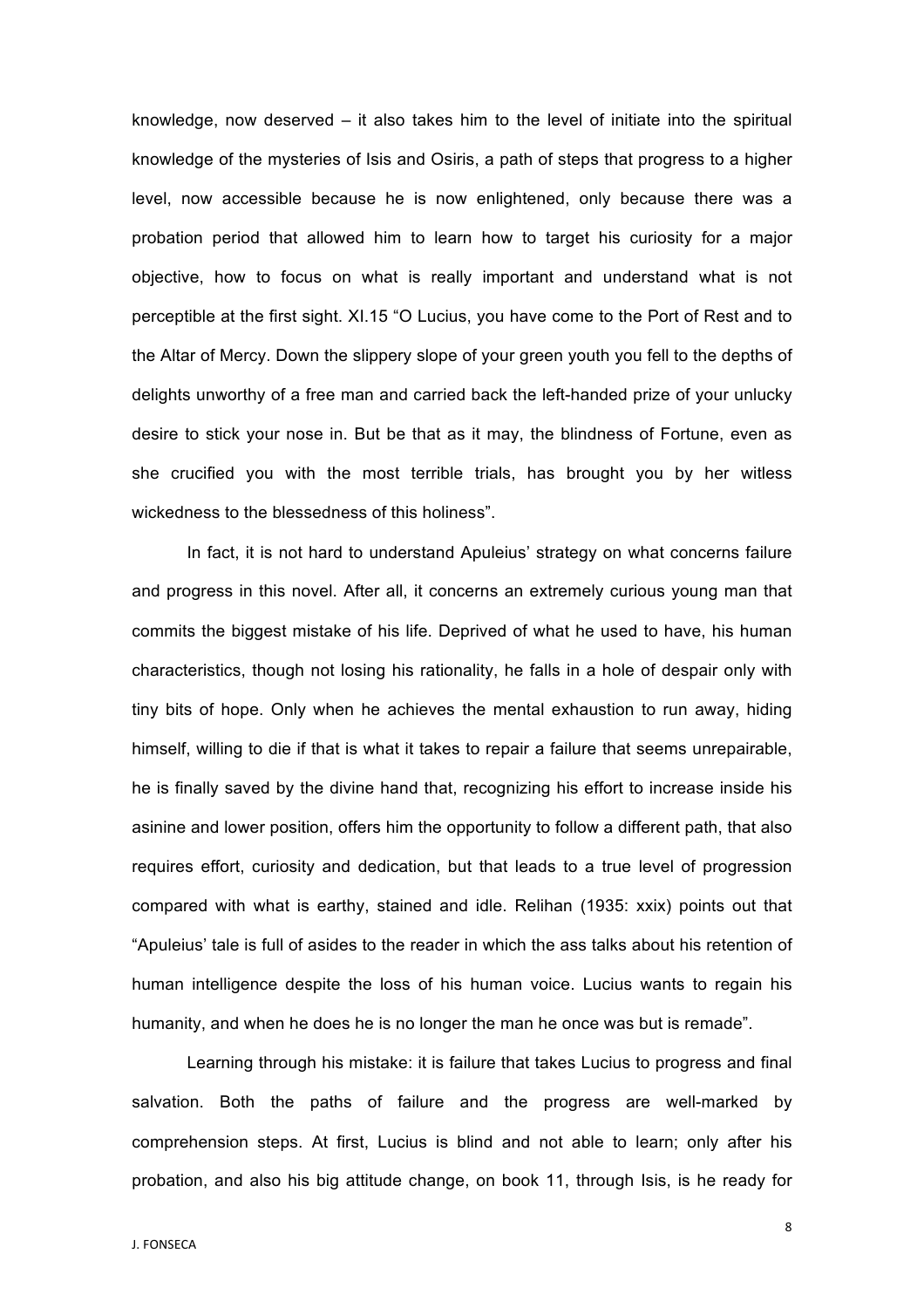knowledge, now deserved – it also takes him to the level of initiate into the spiritual knowledge of the mysteries of Isis and Osiris, a path of steps that progress to a higher level, now accessible because he is now enlightened, only because there was a probation period that allowed him to learn how to target his curiosity for a major objective, how to focus on what is really important and understand what is not perceptible at the first sight. XI.15 "O Lucius, you have come to the Port of Rest and to the Altar of Mercy. Down the slippery slope of your green youth you fell to the depths of delights unworthy of a free man and carried back the left-handed prize of your unlucky desire to stick your nose in. But be that as it may, the blindness of Fortune, even as she crucified you with the most terrible trials, has brought you by her witless wickedness to the blessedness of this holiness".

In fact, it is not hard to understand Apuleius' strategy on what concerns failure and progress in this novel. After all, it concerns an extremely curious young man that commits the biggest mistake of his life. Deprived of what he used to have, his human characteristics, though not losing his rationality, he falls in a hole of despair only with tiny bits of hope. Only when he achieves the mental exhaustion to run away, hiding himself, willing to die if that is what it takes to repair a failure that seems unrepairable, he is finally saved by the divine hand that, recognizing his effort to increase inside his asinine and lower position, offers him the opportunity to follow a different path, that also requires effort, curiosity and dedication, but that leads to a true level of progression compared with what is earthy, stained and idle. Relihan (1935: xxix) points out that "Apuleius' tale is full of asides to the reader in which the ass talks about his retention of human intelligence despite the loss of his human voice. Lucius wants to regain his humanity, and when he does he is no longer the man he once was but is remade".

Learning through his mistake: it is failure that takes Lucius to progress and final salvation. Both the paths of failure and the progress are well-marked by comprehension steps. At first, Lucius is blind and not able to learn; only after his probation, and also his big attitude change, on book 11, through Isis, is he ready for